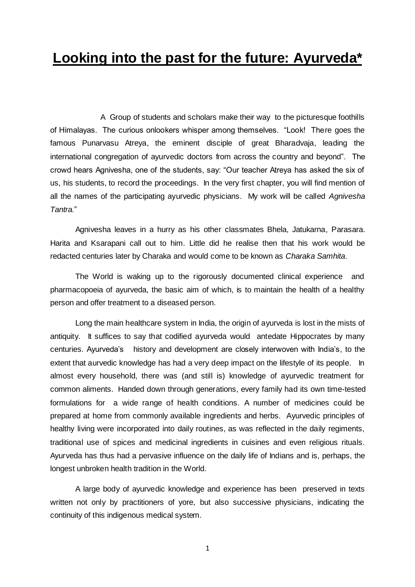## **Looking into the past for the future: Ayurveda\***

A Group of students and scholars make their way to the picturesque foothills of Himalayas. The curious onlookers whisper among themselves. "Look! There goes the famous Punarvasu Atreya, the eminent disciple of great Bharadvaja, leading the international congregation of ayurvedic doctors from across the country and beyond". The crowd hears Agnivesha, one of the students, say: "Our teacher Atreya has asked the six of us, his students, to record the proceedings. In the very first chapter, you will find mention of all the names of the participating ayurvedic physicians. My work will be called *Agnivesha Tantra.*"

Agnivesha leaves in a hurry as his other classmates Bhela, Jatukarna, Parasara. Harita and Ksarapani call out to him. Little did he realise then that his work would be redacted centuries later by Charaka and would come to be known as *Charaka Samhita*.

The World is waking up to the rigorously documented clinical experience and pharmacopoeia of ayurveda, the basic aim of which, is to maintain the health of a healthy person and offer treatment to a diseased person.

Long the main healthcare system in India, the origin of ayurveda is lost in the mists of antiquity. It suffices to say that codified ayurveda would antedate Hippocrates by many centuries. Ayurveda's history and development are closely interwoven with India's, to the extent that aurvedic knowledge has had a very deep impact on the lifestyle of its people. In almost every household, there was (and still is) knowledge of ayurvedic treatment for common aliments. Handed down through generations, every family had its own time-tested formulations for a wide range of health conditions. A number of medicines could be prepared at home from commonly available ingredients and herbs. Ayurvedic principles of healthy living were incorporated into daily routines, as was reflected in the daily regiments, traditional use of spices and medicinal ingredients in cuisines and even religious rituals. Ayurveda has thus had a pervasive influence on the daily life of Indians and is, perhaps, the longest unbroken health tradition in the World.

A large body of ayurvedic knowledge and experience has been preserved in texts written not only by practitioners of yore, but also successive physicians, indicating the continuity of this indigenous medical system.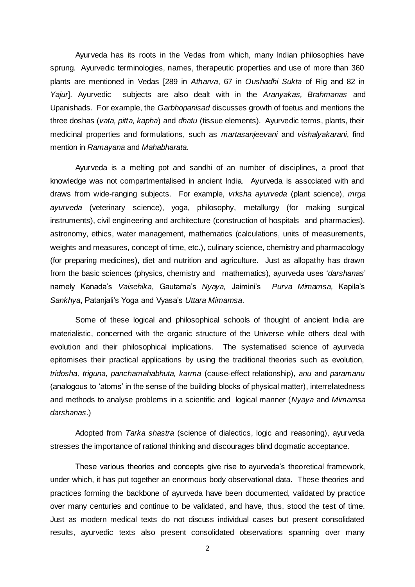Ayurveda has its roots in the Vedas from which, many Indian philosophies have sprung. Ayurvedic terminologies, names, therapeutic properties and use of more than 360 plants are mentioned in Vedas [289 in *Atharva*, 67 in *Oushadhi Sukta* of Rig and 82 in *Yajur*]. Ayurvedic subjects are also dealt with in the *Aranyakas, Brahmanas* and Upanishads. For example, the *Garbhopanisad* discusses growth of foetus and mentions the three doshas (*vata, pitta, kapha*) and *dhatu* (tissue elements). Ayurvedic terms, plants, their medicinal properties and formulations, such as *martasanjeevani* and *vishalyakarani*, find mention in *Ramayana* and *Mahabharata*.

Ayurveda is a melting pot and sandhi of an number of disciplines, a proof that knowledge was not compartmentalised in ancient India. Ayurveda is associated with and draws from wide-ranging subjects. For example, *vrksha ayurveda* (plant science), *mrga ayurveda* (veterinary science), yoga, philosophy, metallurgy (for making surgical instruments), civil engineering and architecture (construction of hospitals and pharmacies), astronomy, ethics, water management, mathematics (calculations, units of measurements, weights and measures, concept of time, etc.), culinary science, chemistry and pharmacology (for preparing medicines), diet and nutrition and agriculture. Just as allopathy has drawn from the basic sciences (physics, chemistry and mathematics), ayurveda uses '*darshanas*' namely Kanada's *Vaisehika*, Gautama's *Nyaya,* Jaimini's *Purva Mimamsa,* Kapila's *Sankhya*, Patanjali's Yoga and Vyasa's *Uttara Mimamsa*.

Some of these logical and philosophical schools of thought of ancient India are materialistic, concerned with the organic structure of the Universe while others deal with evolution and their philosophical implications. The systematised science of ayurveda epitomises their practical applications by using the traditional theories such as evolution, *tridosha, triguna, panchamahabhuta, karma* (cause-effect relationship), *anu* and *paramanu* (analogous to 'atoms' in the sense of the building blocks of physical matter), interrelatedness and methods to analyse problems in a scientific and logical manner (*Nyaya* and *Mimamsa darshanas*.)

Adopted from *Tarka shastra* (science of dialectics, logic and reasoning), ayurveda stresses the importance of rational thinking and discourages blind dogmatic acceptance.

These various theories and concepts give rise to ayurveda's theoretical framework, under which, it has put together an enormous body observational data. These theories and practices forming the backbone of ayurveda have been documented, validated by practice over many centuries and continue to be validated, and have, thus, stood the test of time. Just as modern medical texts do not discuss individual cases but present consolidated results, ayurvedic texts also present consolidated observations spanning over many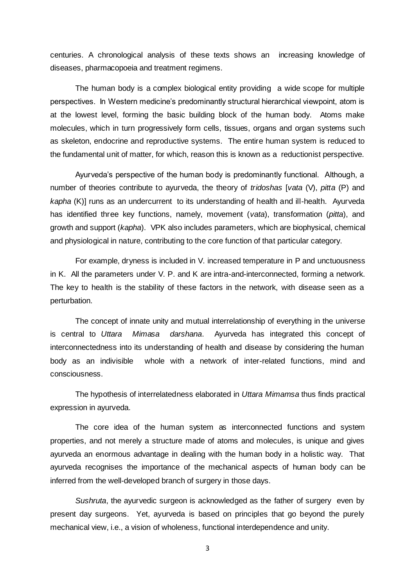centuries. A chronological analysis of these texts shows an increasing knowledge of diseases, pharmacopoeia and treatment regimens.

The human body is a complex biological entity providing a wide scope for multiple perspectives. In Western medicine's predominantly structural hierarchical viewpoint, atom is at the lowest level, forming the basic building block of the human body. Atoms make molecules, which in turn progressively form cells, tissues, organs and organ systems such as skeleton, endocrine and reproductive systems. The entire human system is reduced to the fundamental unit of matter, for which, reason this is known as a reductionist perspective.

Ayurveda's perspective of the human body is predominantly functional. Although, a number of theories contribute to ayurveda, the theory of *tridoshas* [*vata* (V), *pitta* (P) and *kapha* (K)] runs as an undercurrent to its understanding of health and ill-health. Ayurveda has identified three key functions, namely, movement (*vata*), transformation (*pitta*), and growth and support (*kapha*). VPK also includes parameters, which are biophysical, chemical and physiological in nature, contributing to the core function of that particular category.

For example, dryness is included in V. increased temperature in P and unctuousness in K. All the parameters under V. P. and K are intra-and-interconnected, forming a network. The key to health is the stability of these factors in the network, with disease seen as a perturbation.

The concept of innate unity and mutual interrelationship of everything in the universe is central to *Uttara Mimasa darshana*. Ayurveda has integrated this concept of interconnectedness into its understanding of health and disease by considering the human body as an indivisible whole with a network of inter-related functions, mind and consciousness.

The hypothesis of interrelatedness elaborated in *Uttara Mimamsa* thus finds practical expression in ayurveda.

The core idea of the human system as interconnected functions and system properties, and not merely a structure made of atoms and molecules, is unique and gives ayurveda an enormous advantage in dealing with the human body in a holistic way. That ayurveda recognises the importance of the mechanical aspects of human body can be inferred from the well-developed branch of surgery in those days.

*Sushruta*, the ayurvedic surgeon is acknowledged as the father of surgery even by present day surgeons. Yet, ayurveda is based on principles that go beyond the purely mechanical view, i.e., a vision of wholeness, functional interdependence and unity.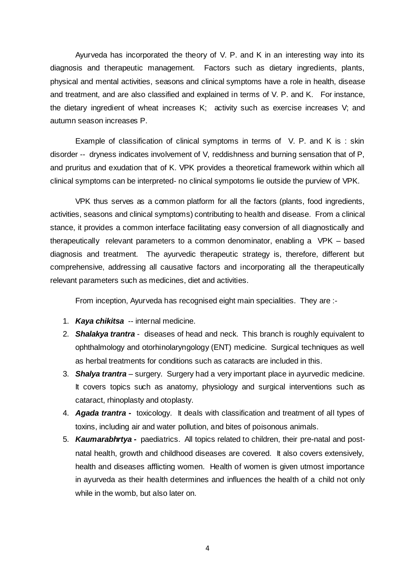Ayurveda has incorporated the theory of V. P. and K in an interesting way into its diagnosis and therapeutic management. Factors such as dietary ingredients, plants, physical and mental activities, seasons and clinical symptoms have a role in health, disease and treatment, and are also classified and explained in terms of V. P. and K. For instance, the dietary ingredient of wheat increases K; activity such as exercise increases V; and autumn season increases P.

Example of classification of clinical symptoms in terms of V. P. and K is : skin disorder -- dryness indicates involvement of V, reddishness and burning sensation that of P, and pruritus and exudation that of K. VPK provides a theoretical framework within which all clinical symptoms can be interpreted- no clinical sympotoms lie outside the purview of VPK.

VPK thus serves as a common platform for all the factors (plants, food ingredients, activities, seasons and clinical symptoms) contributing to health and disease. From a clinical stance, it provides a common interface facilitating easy conversion of all diagnostically and therapeutically relevant parameters to a common denominator, enabling a VPK – based diagnosis and treatment. The ayurvedic therapeutic strategy is, therefore, different but comprehensive, addressing all causative factors and incorporating all the therapeutically relevant parameters such as medicines, diet and activities.

From inception, Ayurveda has recognised eight main specialities. They are :-

- 1. *Kaya chikitsa* -- internal medicine.
- 2. *Shalakya trantra* diseases of head and neck. This branch is roughly equivalent to ophthalmology and otorhinolaryngology (ENT) medicine. Surgical techniques as well as herbal treatments for conditions such as cataracts are included in this.
- 3. *Shalya trantra* surgery. Surgery had a very important place in ayurvedic medicine. It covers topics such as anatomy, physiology and surgical interventions such as cataract, rhinoplasty and otoplasty.
- 4. *Agada trantra* toxicology. It deals with classification and treatment of all types of toxins, including air and water pollution, and bites of poisonous animals.
- 5. *Kaumarabhrtya* **-** paediatrics. All topics related to children, their pre-natal and postnatal health, growth and childhood diseases are covered. It also covers extensively, health and diseases afflicting women. Health of women is given utmost importance in ayurveda as their health determines and influences the health of a child not only while in the womb, but also later on.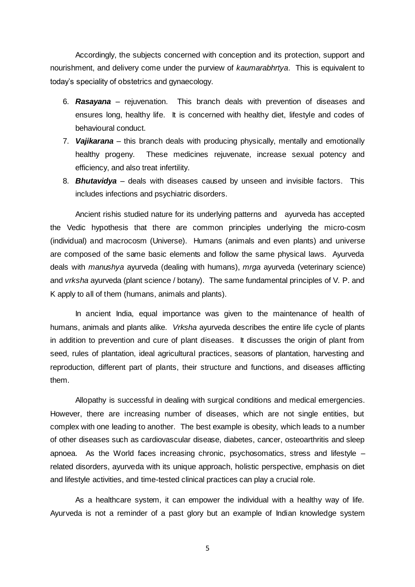Accordingly, the subjects concerned with conception and its protection, support and nourishment, and delivery come under the purview of *kaumarabhrtya*. This is equivalent to today's speciality of obstetrics and gynaecology.

- 6. *Rasayana* rejuvenation. This branch deals with prevention of diseases and ensures long, healthy life. It is concerned with healthy diet, lifestyle and codes of behavioural conduct.
- 7. *Vajikarana* this branch deals with producing physically, mentally and emotionally healthy progeny. These medicines rejuvenate, increase sexual potency and efficiency, and also treat infertility.
- 8. *Bhutavidya*  deals with diseases caused by unseen and invisible factors. This includes infections and psychiatric disorders.

Ancient rishis studied nature for its underlying patterns and ayurveda has accepted the Vedic hypothesis that there are common principles underlying the micro-cosm (individual) and macrocosm (Universe). Humans (animals and even plants) and universe are composed of the same basic elements and follow the same physical laws. Ayurveda deals with *manushya* ayurveda (dealing with humans), *mrga* ayurveda (veterinary science) and *vrksha* ayurveda (plant science / botany). The same fundamental principles of V. P. and K apply to all of them (humans, animals and plants).

In ancient India, equal importance was given to the maintenance of health of humans, animals and plants alike. *Vrksha* ayurveda describes the entire life cycle of plants in addition to prevention and cure of plant diseases. It discusses the origin of plant from seed, rules of plantation, ideal agricultural practices, seasons of plantation, harvesting and reproduction, different part of plants, their structure and functions, and diseases afflicting them.

Allopathy is successful in dealing with surgical conditions and medical emergencies. However, there are increasing number of diseases, which are not single entities, but complex with one leading to another. The best example is obesity, which leads to a number of other diseases such as cardiovascular disease, diabetes, cancer, osteoarthritis and sleep apnoea. As the World faces increasing chronic, psychosomatics, stress and lifestyle – related disorders, ayurveda with its unique approach, holistic perspective, emphasis on diet and lifestyle activities, and time-tested clinical practices can play a crucial role.

As a healthcare system, it can empower the individual with a healthy way of life. Ayurveda is not a reminder of a past glory but an example of Indian knowledge system